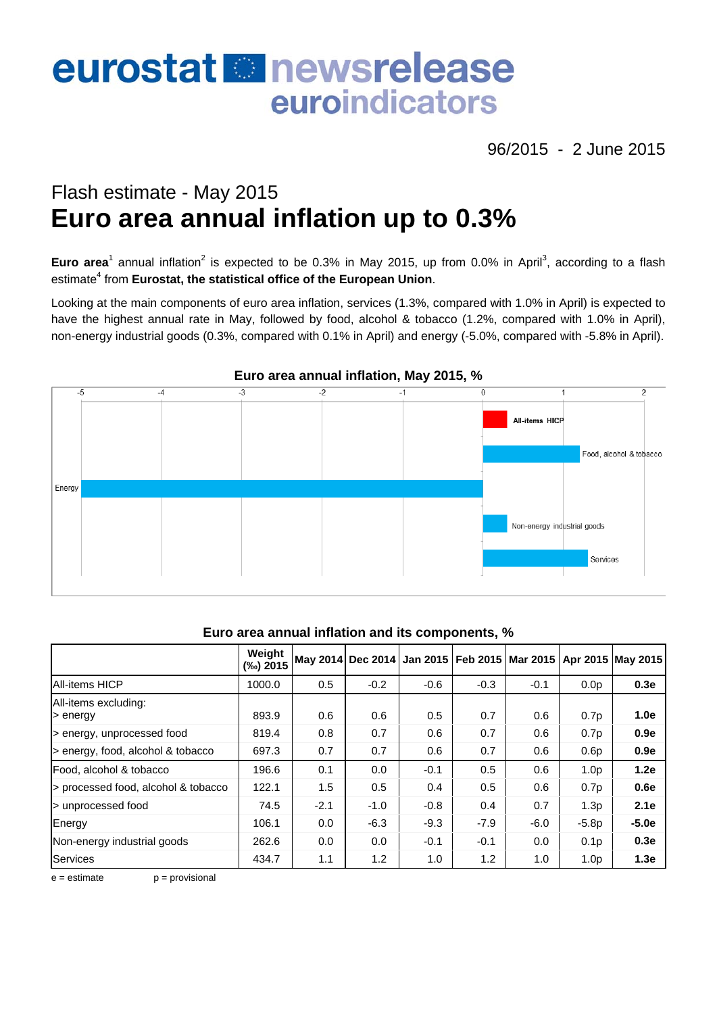## eurostat **B**newsrelease euroindicators

96/2015 - 2 June 2015

## Flash estimate - May 2015 **Euro area annual inflation up to 0.3%**

**Euro area**<sup>1</sup> annual inflation<sup>2</sup> is expected to be 0.3% in May 2015, up from 0.0% in April<sup>3</sup>, according to a flash estimate<sup>4</sup> from Eur**ostat, the statistical office of the European Union**.

Looking at the main components of euro area inflation, services (1.3%, compared with 1.0% in April) is expected to have the highest annual rate in May, followed by food, alcohol & tobacco (1.2%, compared with 1.0% in April), non-energy industrial goods (0.3%, compared with 0.1% in April) and energy (-5.0%, compared with -5.8% in April).



| Euro area annual inflation and its components, % |
|--------------------------------------------------|

|                                     | Weight<br>$(\%)o$ ) 2015 |        | May 2014 Dec 2014 Jan 2015 Feb 2015 Mar 2015 |        |        |        |                  | Apr 2015 May 2015 |
|-------------------------------------|--------------------------|--------|----------------------------------------------|--------|--------|--------|------------------|-------------------|
| <b>All-items HICP</b>               | 1000.0                   | 0.5    | $-0.2$                                       | $-0.6$ | $-0.3$ | $-0.1$ | 0.0 <sub>p</sub> | 0.3e              |
| All-items excluding:<br>> energy    | 893.9                    | 0.6    | 0.6                                          | 0.5    | 0.7    | 0.6    | 0.7p             | 1.0e              |
| > energy, unprocessed food          | 819.4                    | 0.8    | 0.7                                          | 0.6    | 0.7    | 0.6    | 0.7p             | 0.9e              |
| > energy, food, alcohol & tobacco   | 697.3                    | 0.7    | 0.7                                          | 0.6    | 0.7    | 0.6    | 0.6p             | 0.9e              |
| Food, alcohol & tobacco             | 196.6                    | 0.1    | 0.0                                          | $-0.1$ | 0.5    | 0.6    | 1.0 <sub>p</sub> | 1.2e              |
| > processed food, alcohol & tobacco | 122.1                    | 1.5    | 0.5                                          | 0.4    | 0.5    | 0.6    | 0.7p             | 0.6e              |
| > unprocessed food                  | 74.5                     | $-2.1$ | $-1.0$                                       | $-0.8$ | 0.4    | 0.7    | 1.3 <sub>p</sub> | 2.1e              |
| Energy                              | 106.1                    | 0.0    | $-6.3$                                       | $-9.3$ | $-7.9$ | $-6.0$ | $-5.8p$          | $-5.0e$           |
| Non-energy industrial goods         | 262.6                    | 0.0    | 0.0                                          | $-0.1$ | $-0.1$ | 0.0    | 0.1 <sub>p</sub> | 0.3e              |
| <b>Services</b>                     | 434.7                    | 1.1    | 1.2                                          | 1.0    | 1.2    | 1.0    | 1.0 <sub>p</sub> | 1.3e              |

 $e =$  estimate  $p =$  provisional